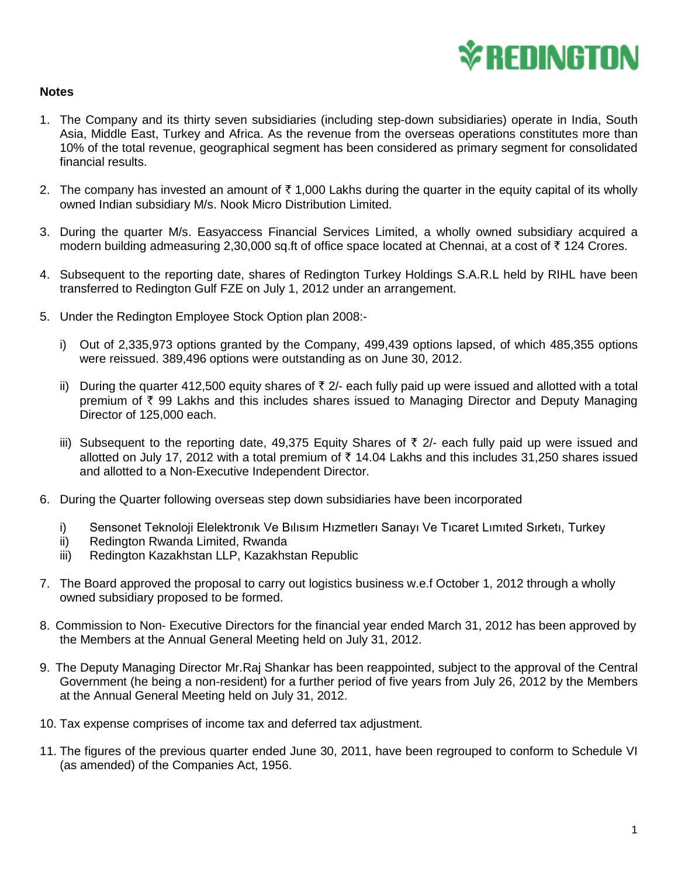

## **Notes**

- 1. The Company and its thirty seven subsidiaries (including step-down subsidiaries) operate in India, South Asia, Middle East, Turkey and Africa. As the revenue from the overseas operations constitutes more than 10% of the total revenue, geographical segment has been considered as primary segment for consolidated financial results.
- 2. The company has invested an amount of  $\bar{\tau}$  1,000 Lakhs during the quarter in the equity capital of its wholly owned Indian subsidiary M/s. Nook Micro Distribution Limited.
- 3. During the quarter M/s. Easyaccess Financial Services Limited, a wholly owned subsidiary acquired a modern building admeasuring 2,30,000 sq.ft of office space located at Chennai, at a cost of  $\bar{\tau}$  124 Crores.
- 4. Subsequent to the reporting date, shares of Redington Turkey Holdings S.A.R.L held by RIHL have been transferred to Redington Gulf FZE on July 1, 2012 under an arrangement.
- 5. Under the Redington Employee Stock Option plan 2008:
	- i) Out of 2,335,973 options granted by the Company, 499,439 options lapsed, of which 485,355 options were reissued. 389,496 options were outstanding as on June 30, 2012.
	- ii) During the quarter 412,500 equity shares of  $\bar{\tau}$  2/- each fully paid up were issued and allotted with a total premium of  $\bar{\tau}$  99 Lakhs and this includes shares issued to Managing Director and Deputy Managing Director of 125,000 each.
	- iii) Subsequent to the reporting date, 49,375 Equity Shares of  $\bar{\tau}$  2/- each fully paid up were issued and allotted on July 17, 2012 with a total premium of  $\bar{\tau}$  14.04 Lakhs and this includes 31,250 shares issued and allotted to a Non-Executive Independent Director.
- 6. During the Quarter following overseas step down subsidiaries have been incorporated
	- i) Sensonet Teknoloji Elelektronık Ve Bılısım Hızmetlerı Sanayı Ve Tıcaret Lımıted Sırketı, Turkey
	- ii) Redington Rwanda Limited, Rwanda
	- iii) Redington Kazakhstan LLP, Kazakhstan Republic
- 7. The Board approved the proposal to carry out logistics business w.e.f October 1, 2012 through a wholly owned subsidiary proposed to be formed.
- 8. Commission to Non- Executive Directors for the financial year ended March 31, 2012 has been approved by the Members at the Annual General Meeting held on July 31, 2012.
- 9. The Deputy Managing Director Mr.Raj Shankar has been reappointed, subject to the approval of the Central Government (he being a non-resident) for a further period of five years from July 26, 2012 by the Members at the Annual General Meeting held on July 31, 2012.
- 10. Tax expense comprises of income tax and deferred tax adjustment.
- 11. The figures of the previous quarter ended June 30, 2011, have been regrouped to conform to Schedule VI (as amended) of the Companies Act, 1956.